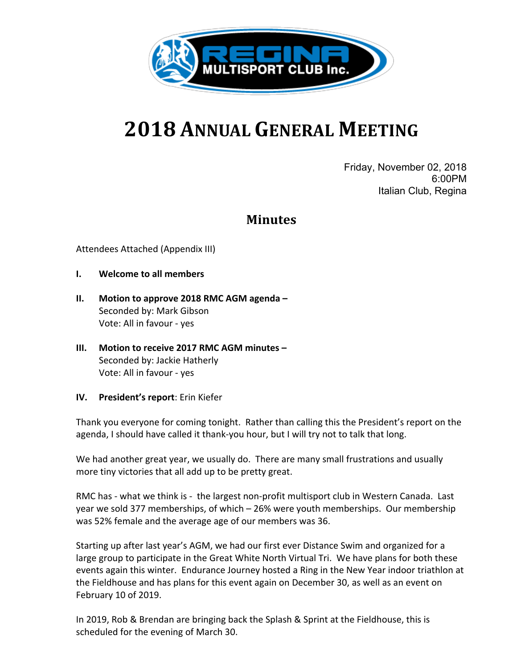

# **2018 ANNUAL GENERAL MEETING**

Friday, November 02, 2018 6:00PM Italian Club, Regina

## **Minutes**

Attendees Attached (Appendix III)

- **I.** Welcome to all members
- **II.** Motion to approve 2018 RMC AGM agenda Seconded by: Mark Gibson Vote: All in favour - yes
- **III.** Motion to receive 2017 RMC AGM minutes Seconded by: Jackie Hatherly Vote: All in favour - yes
- **IV.** President's report: Erin Kiefer

Thank you everyone for coming tonight. Rather than calling this the President's report on the agenda, I should have called it thank-you hour, but I will try not to talk that long.

We had another great year, we usually do. There are many small frustrations and usually more tiny victories that all add up to be pretty great.

RMC has - what we think is - the largest non-profit multisport club in Western Canada. Last year we sold 377 memberships, of which – 26% were youth memberships. Our membership was 52% female and the average age of our members was 36.

Starting up after last year's AGM, we had our first ever Distance Swim and organized for a large group to participate in the Great White North Virtual Tri. We have plans for both these events again this winter. Endurance Journey hosted a Ring in the New Year indoor triathlon at the Fieldhouse and has plans for this event again on December 30, as well as an event on February 10 of 2019.

In 2019, Rob & Brendan are bringing back the Splash & Sprint at the Fieldhouse, this is scheduled for the evening of March 30.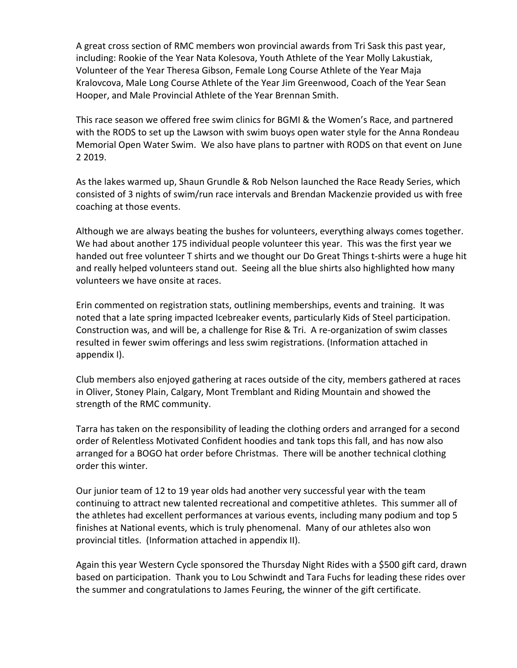A great cross section of RMC members won provincial awards from Tri Sask this past year, including: Rookie of the Year Nata Kolesova, Youth Athlete of the Year Molly Lakustiak, Volunteer of the Year Theresa Gibson, Female Long Course Athlete of the Year Maja Kralovcova, Male Long Course Athlete of the Year Jim Greenwood, Coach of the Year Sean Hooper, and Male Provincial Athlete of the Year Brennan Smith.

This race season we offered free swim clinics for BGMI & the Women's Race, and partnered with the RODS to set up the Lawson with swim buoys open water style for the Anna Rondeau Memorial Open Water Swim. We also have plans to partner with RODS on that event on June 2 2019.

As the lakes warmed up, Shaun Grundle & Rob Nelson launched the Race Ready Series, which consisted of 3 nights of swim/run race intervals and Brendan Mackenzie provided us with free coaching at those events.

Although we are always beating the bushes for volunteers, everything always comes together. We had about another 175 individual people volunteer this year. This was the first year we handed out free volunteer T shirts and we thought our Do Great Things t-shirts were a huge hit and really helped volunteers stand out. Seeing all the blue shirts also highlighted how many volunteers we have onsite at races.

Erin commented on registration stats, outlining memberships, events and training. It was noted that a late spring impacted Icebreaker events, particularly Kids of Steel participation. Construction was, and will be, a challenge for Rise & Tri. A re-organization of swim classes resulted in fewer swim offerings and less swim registrations. (Information attached in appendix I).

Club members also enjoyed gathering at races outside of the city, members gathered at races in Oliver, Stoney Plain, Calgary, Mont Tremblant and Riding Mountain and showed the strength of the RMC community.

Tarra has taken on the responsibility of leading the clothing orders and arranged for a second order of Relentless Motivated Confident hoodies and tank tops this fall, and has now also arranged for a BOGO hat order before Christmas. There will be another technical clothing order this winter.

Our junior team of 12 to 19 year olds had another very successful year with the team continuing to attract new talented recreational and competitive athletes. This summer all of the athletes had excellent performances at various events, including many podium and top 5 finishes at National events, which is truly phenomenal. Many of our athletes also won provincial titles. (Information attached in appendix II).

Again this year Western Cycle sponsored the Thursday Night Rides with a \$500 gift card, drawn based on participation. Thank you to Lou Schwindt and Tara Fuchs for leading these rides over the summer and congratulations to James Feuring, the winner of the gift certificate.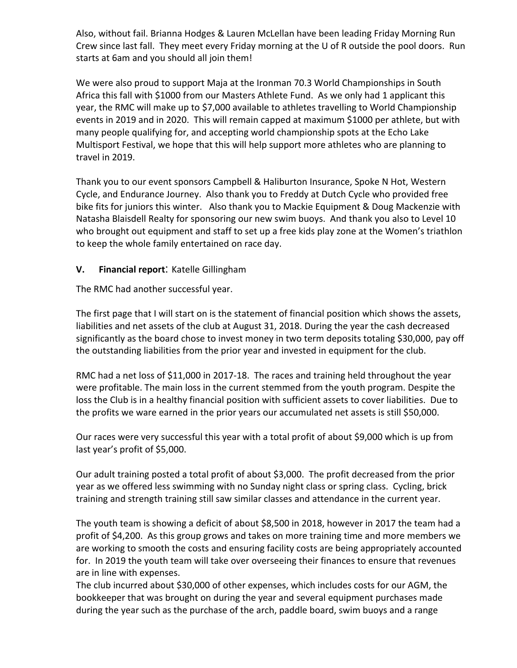Also, without fail. Brianna Hodges & Lauren McLellan have been leading Friday Morning Run Crew since last fall. They meet every Friday morning at the U of R outside the pool doors. Run starts at 6am and you should all join them!

We were also proud to support Maja at the Ironman 70.3 World Championships in South Africa this fall with \$1000 from our Masters Athlete Fund. As we only had 1 applicant this year, the RMC will make up to \$7,000 available to athletes travelling to World Championship events in 2019 and in 2020. This will remain capped at maximum \$1000 per athlete, but with many people qualifying for, and accepting world championship spots at the Echo Lake Multisport Festival, we hope that this will help support more athletes who are planning to travel in 2019.

Thank you to our event sponsors Campbell & Haliburton Insurance, Spoke N Hot, Western Cycle, and Endurance Journey. Also thank you to Freddy at Dutch Cycle who provided free bike fits for juniors this winter. Also thank you to Mackie Equipment & Doug Mackenzie with Natasha Blaisdell Realty for sponsoring our new swim buoys. And thank you also to Level 10 who brought out equipment and staff to set up a free kids play zone at the Women's triathlon to keep the whole family entertained on race day.

## **V. Financial report**: Katelle Gillingham

The RMC had another successful year.

The first page that I will start on is the statement of financial position which shows the assets, liabilities and net assets of the club at August 31, 2018. During the year the cash decreased significantly as the board chose to invest money in two term deposits totaling \$30,000, pay off the outstanding liabilities from the prior year and invested in equipment for the club.

RMC had a net loss of \$11,000 in 2017-18. The races and training held throughout the year were profitable. The main loss in the current stemmed from the youth program. Despite the loss the Club is in a healthy financial position with sufficient assets to cover liabilities. Due to the profits we ware earned in the prior years our accumulated net assets is still \$50,000.

Our races were very successful this year with a total profit of about \$9,000 which is up from last year's profit of \$5,000.

Our adult training posted a total profit of about \$3,000. The profit decreased from the prior year as we offered less swimming with no Sunday night class or spring class. Cycling, brick training and strength training still saw similar classes and attendance in the current year.

The youth team is showing a deficit of about \$8,500 in 2018, however in 2017 the team had a profit of \$4,200. As this group grows and takes on more training time and more members we are working to smooth the costs and ensuring facility costs are being appropriately accounted for. In 2019 the youth team will take over overseeing their finances to ensure that revenues are in line with expenses.

The club incurred about \$30,000 of other expenses, which includes costs for our AGM, the bookkeeper that was brought on during the year and several equipment purchases made during the year such as the purchase of the arch, paddle board, swim buoys and a range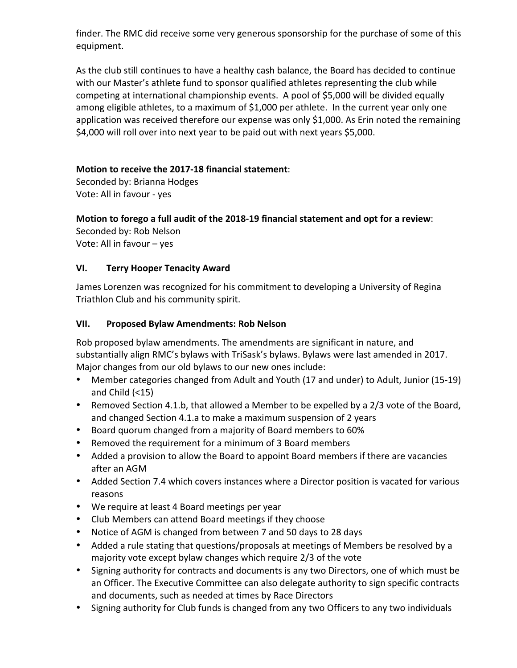finder. The RMC did receive some very generous sponsorship for the purchase of some of this equipment. 

As the club still continues to have a healthy cash balance, the Board has decided to continue with our Master's athlete fund to sponsor qualified athletes representing the club while competing at international championship events. A pool of \$5,000 will be divided equally among eligible athletes, to a maximum of \$1,000 per athlete. In the current year only one application was received therefore our expense was only \$1,000. As Erin noted the remaining \$4,000 will roll over into next year to be paid out with next years \$5,000.

## **Motion to receive the 2017-18 financial statement**:

Seconded by: Brianna Hodges Vote: All in favour - yes

## **Motion to forego a full audit of the 2018-19 financial statement and opt for a review:**

Seconded by: Rob Nelson Vote: All in favour - yes

## **VI. Terry Hooper Tenacity Award**

James Lorenzen was recognized for his commitment to developing a University of Regina Triathlon Club and his community spirit.

## **VII. Proposed Bylaw Amendments: Rob Nelson**

Rob proposed bylaw amendments. The amendments are significant in nature, and substantially align RMC's bylaws with TriSask's bylaws. Bylaws were last amended in 2017. Major changes from our old bylaws to our new ones include:

- Member categories changed from Adult and Youth (17 and under) to Adult, Junior (15-19) and Child  $( < 15)$
- Removed Section 4.1.b, that allowed a Member to be expelled by a 2/3 vote of the Board, and changed Section 4.1.a to make a maximum suspension of 2 years
- Board quorum changed from a majority of Board members to 60%
- Removed the requirement for a minimum of 3 Board members
- Added a provision to allow the Board to appoint Board members if there are vacancies after an AGM
- Added Section 7.4 which covers instances where a Director position is vacated for various reasons
- We require at least 4 Board meetings per year
- Club Members can attend Board meetings if they choose
- Notice of AGM is changed from between 7 and 50 days to 28 days
- Added a rule stating that questions/proposals at meetings of Members be resolved by a majority vote except bylaw changes which require 2/3 of the vote
- Signing authority for contracts and documents is any two Directors, one of which must be an Officer. The Executive Committee can also delegate authority to sign specific contracts and documents, such as needed at times by Race Directors
- Signing authority for Club funds is changed from any two Officers to any two individuals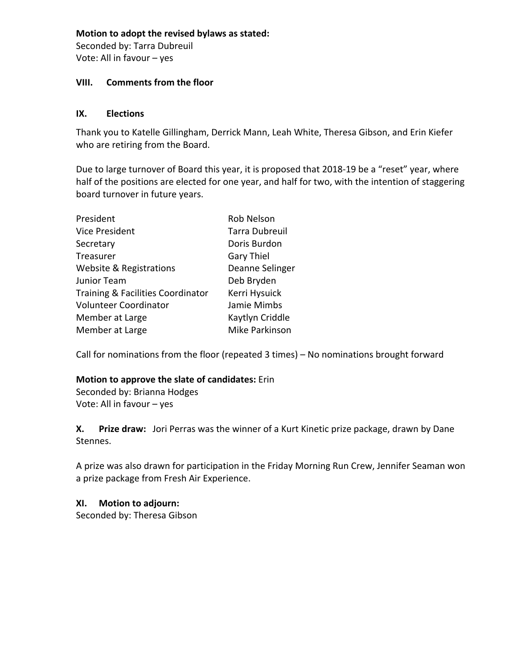## **Motion to adopt the revised bylaws as stated:**

Seconded by: Tarra Dubreuil Vote: All in favour - yes

## **VIII.** Comments from the floor

## **IX. Elections**

Thank you to Katelle Gillingham, Derrick Mann, Leah White, Theresa Gibson, and Erin Kiefer who are retiring from the Board.

Due to large turnover of Board this year, it is proposed that 2018-19 be a "reset" year, where half of the positions are elected for one year, and half for two, with the intention of staggering board turnover in future years.

| President                         | <b>Rob Nelson</b>     |
|-----------------------------------|-----------------------|
| <b>Vice President</b>             | <b>Tarra Dubreuil</b> |
| Secretary                         | Doris Burdon          |
| Treasurer                         | <b>Gary Thiel</b>     |
| Website & Registrations           | Deanne Selinger       |
| Junior Team                       | Deb Bryden            |
| Training & Facilities Coordinator | Kerri Hysuick         |
| <b>Volunteer Coordinator</b>      | Jamie Mimbs           |
| Member at Large                   | Kaytlyn Criddle       |
| Member at Large                   | Mike Parkinson        |
|                                   |                       |

Call for nominations from the floor (repeated  $3$  times) – No nominations brought forward

## **Motion to approve the slate of candidates:** Erin

Seconded by: Brianna Hodges Vote: All in favour - yes

**X.** Prize draw: Jori Perras was the winner of a Kurt Kinetic prize package, drawn by Dane Stennes. 

A prize was also drawn for participation in the Friday Morning Run Crew, Jennifer Seaman won a prize package from Fresh Air Experience.

## **XI. Motion to adjourn:**

Seconded by: Theresa Gibson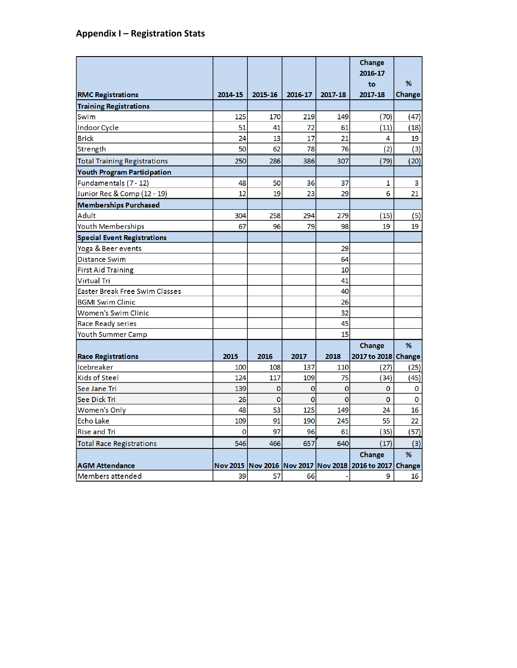## **Appendix I – Registration Stats**

|                                     |         |                |                |                | Change<br>2016-17                                       |        |
|-------------------------------------|---------|----------------|----------------|----------------|---------------------------------------------------------|--------|
|                                     |         |                |                |                | to                                                      | %      |
| <b>RMC Registrations</b>            | 2014-15 | 2015-16        | 2016-17        | 2017-18        | 2017-18                                                 | Change |
| <b>Training Registrations</b>       |         |                |                |                |                                                         |        |
| Swim                                | 125     | 170            | 219            | 149            | (70)                                                    | (47)   |
| Indoor Cycle                        | 51      | 41             | 72             | 61             | (11)                                                    | (18)   |
| <b>Brick</b>                        | 24      | 13             | 17             | 21             | 4                                                       | 19     |
| Strength                            | 50      | 62             | 78             | 76             | (2)                                                     | (3)    |
| <b>Total Training Registrations</b> | 250     | 286            | 386            | 307            | (79)                                                    | (20)   |
| Youth Program Participation         |         |                |                |                |                                                         |        |
| Fundamentals (7 - 12)               | 48      | 50             | 36             | 37             | 1                                                       | 3      |
| Junior Rec & Comp (12 - 19)         | 12      | 19             | 23             | 29             | 6                                                       | 21     |
| <b>Memberships Purchased</b>        |         |                |                |                |                                                         |        |
| Adult                               | 304     | 258            | 294            | 279            | (15)                                                    | (5)    |
| Youth Memberships                   | 67      | 96             | 79             | 98             | 19                                                      | 19     |
| <b>Special Event Registrations</b>  |         |                |                |                |                                                         |        |
| Yoga & Beer events                  |         |                |                | 29             |                                                         |        |
| Distance Swim                       |         |                |                | 64             |                                                         |        |
| <b>First Aid Training</b>           |         |                |                | 10             |                                                         |        |
| Virtual Tri                         |         |                |                | 41             |                                                         |        |
| Easter Break Free Swim Classes      |         |                |                | 40             |                                                         |        |
| <b>BGMI Swim Clinic</b>             |         |                |                | 26             |                                                         |        |
| Women's Swim Clinic                 |         |                |                | 32             |                                                         |        |
| Race Ready series                   |         |                |                | 45             |                                                         |        |
| Youth Summer Camp                   |         |                |                | 15             |                                                         |        |
|                                     |         |                |                |                | Change                                                  | %      |
| <b>Race Registrations</b>           | 2015    | 2016           | 2017           | 2018           | 2017 to 2018 Change                                     |        |
| Icebreaker                          | 100     | 108            | 137            | 110            | (27)                                                    | (25)   |
| Kids of Steel                       | 124     | 117            | 109            | 75             | (34)                                                    | (45)   |
| See Jane Tri                        | 139     | 0              | 0              | $\bf{0}$       | $\mathbf 0$                                             | 0      |
| See Dick Tri                        | 26      | $\overline{0}$ | $\overline{0}$ | $\overline{0}$ | $\overline{0}$                                          | 0      |
| Women's Only                        | 48      | 53             | 125            | 149            | 24                                                      | 16     |
| Echo Lake                           | 109     | 91             | 190            | 245            | 55                                                      | 22     |
| Rise and Tri                        | 0       | 97             | 96             | 61             | 35)                                                     | (57)   |
| <b>Total Race Registrations</b>     | 546     | 466            | 657            | 640            | (17)                                                    | (3)    |
|                                     |         |                |                |                | Change                                                  | %      |
| <b>AGM Attendance</b>               |         |                |                |                | Nov 2015 Nov 2016 Nov 2017 Nov 2018 2016 to 2017 Change |        |
| Members attended                    | 39      | 57             | 66             |                | 9                                                       | 16     |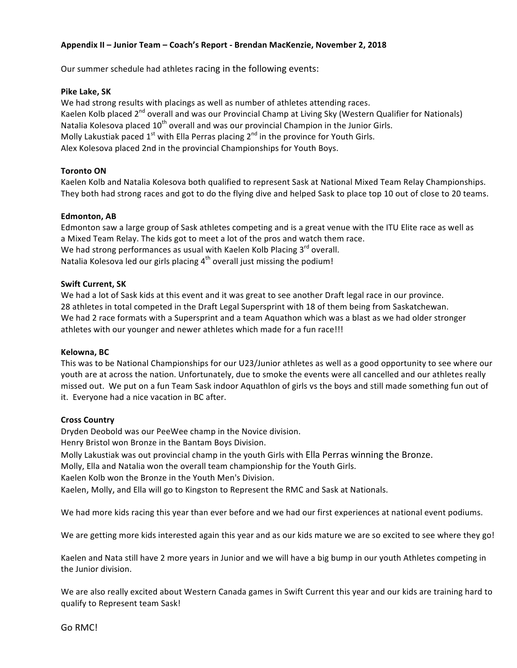### **Appendix II – Junior Team – Coach's Report - Brendan MacKenzie, November 2, 2018**

Our summer schedule had athletes racing in the following events:

#### **Pike Lake, SK**

We had strong results with placings as well as number of athletes attending races. Kaelen Kolb placed 2<sup>nd</sup> overall and was our Provincial Champ at Living Sky (Western Qualifier for Nationals) Natalia Kolesova placed  $10^{th}$  overall and was our provincial Champion in the Junior Girls. Molly Lakustiak paced  $1^{st}$  with Ella Perras placing  $2^{nd}$  in the province for Youth Girls. Alex Kolesova placed 2nd in the provincial Championships for Youth Boys.

#### **Toronto ON**

Kaelen Kolb and Natalia Kolesova both qualified to represent Sask at National Mixed Team Relay Championships. They both had strong races and got to do the flying dive and helped Sask to place top 10 out of close to 20 teams.

#### **Edmonton, AB**

Edmonton saw a large group of Sask athletes competing and is a great venue with the ITU Elite race as well as a Mixed Team Relay. The kids got to meet a lot of the pros and watch them race. We had strong performances as usual with Kaelen Kolb Placing  $3<sup>rd</sup>$  overall. Natalia Kolesova led our girls placing  $4<sup>th</sup>$  overall just missing the podium!

#### **Swift Current, SK**

We had a lot of Sask kids at this event and it was great to see another Draft legal race in our province. 28 athletes in total competed in the Draft Legal Supersprint with 18 of them being from Saskatchewan. We had 2 race formats with a Supersprint and a team Aquathon which was a blast as we had older stronger athletes with our younger and newer athletes which made for a fun race!!!

#### **Kelowna, BC**

This was to be National Championships for our U23/Junior athletes as well as a good opportunity to see where our youth are at across the nation. Unfortunately, due to smoke the events were all cancelled and our athletes really missed out. We put on a fun Team Sask indoor Aquathlon of girls vs the boys and still made something fun out of it. Everyone had a nice vacation in BC after.

#### **Cross Country**

Dryden Deobold was our PeeWee champ in the Novice division. Henry Bristol won Bronze in the Bantam Boys Division.

Molly Lakustiak was out provincial champ in the youth Girls with Ella Perras winning the Bronze.

Molly, Ella and Natalia won the overall team championship for the Youth Girls.

Kaelen Kolb won the Bronze in the Youth Men's Division.

Kaelen, Molly, and Ella will go to Kingston to Represent the RMC and Sask at Nationals.

We had more kids racing this year than ever before and we had our first experiences at national event podiums.

We are getting more kids interested again this year and as our kids mature we are so excited to see where they go!

Kaelen and Nata still have 2 more years in Junior and we will have a big bump in our youth Athletes competing in the Junior division.

We are also really excited about Western Canada games in Swift Current this year and our kids are training hard to qualify to Represent team Sask!